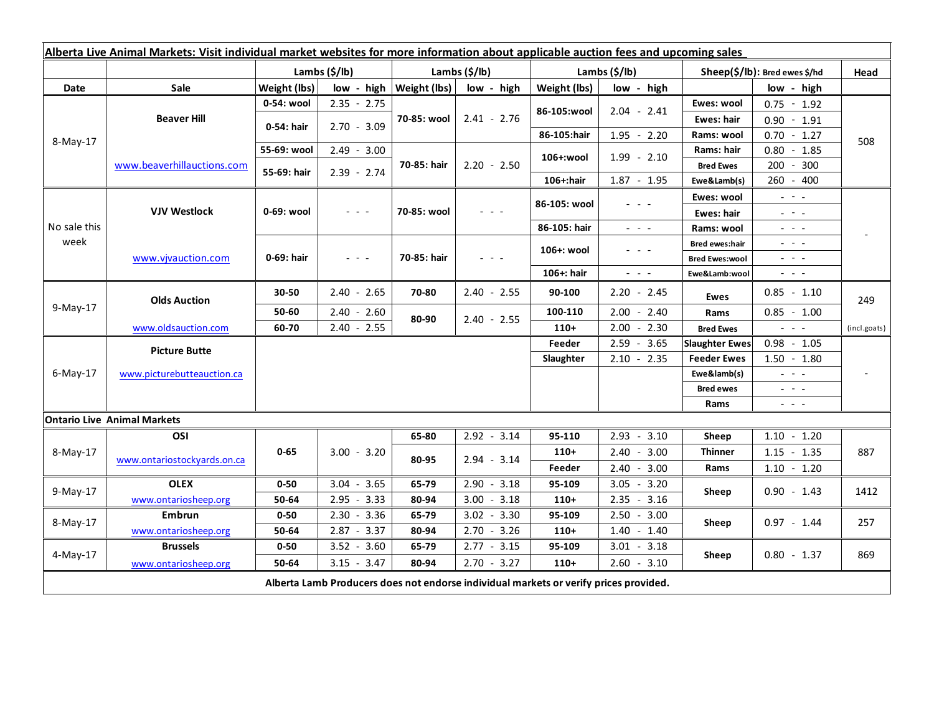| Alberta Live Animal Markets: Visit individual market websites for more information about applicable auction fees and upcoming sales |                                    |                           |               |                           |               |                           |                                                                                                                           |                               |                                                                                                                           |              |
|-------------------------------------------------------------------------------------------------------------------------------------|------------------------------------|---------------------------|---------------|---------------------------|---------------|---------------------------|---------------------------------------------------------------------------------------------------------------------------|-------------------------------|---------------------------------------------------------------------------------------------------------------------------|--------------|
|                                                                                                                                     |                                    | Lambs $(\frac{2}{3})$ lb) |               | Lambs $(\frac{2}{3})$ lb) |               | Lambs $(\frac{2}{3})$ lb) |                                                                                                                           | Sheep(\$/lb): Bred ewes \$/hd |                                                                                                                           | Head         |
| Date                                                                                                                                | <b>Sale</b>                        | Weight (lbs)              | low - high    | Weight (lbs)              | low - high    | Weight (lbs)              | low - high                                                                                                                | low - high                    |                                                                                                                           |              |
| 8-May-17                                                                                                                            | <b>Beaver Hill</b>                 | 0-54: wool                | $2.35 - 2.75$ | 70-85: wool               | $2.41 - 2.76$ |                           |                                                                                                                           | Ewes: wool                    | $0.75 - 1.92$                                                                                                             |              |
|                                                                                                                                     |                                    | 0-54: hair                | $2.70 - 3.09$ |                           |               | 86-105:wool               | $2.04 - 2.41$                                                                                                             | <b>Ewes: hair</b>             | $0.90 - 1.91$                                                                                                             |              |
|                                                                                                                                     |                                    |                           |               |                           |               | 86-105:hair               | $1.95 - 2.20$                                                                                                             | Rams: wool                    | $0.70 - 1.27$                                                                                                             | 508          |
|                                                                                                                                     | www.beaverhillauctions.com         | 55-69: wool               | $2.49 - 3.00$ | 70-85: hair               | $2.20 - 2.50$ | 106+:wool                 | $1.99 - 2.10$                                                                                                             | Rams: hair                    | $0.80 - 1.85$                                                                                                             |              |
|                                                                                                                                     |                                    | 55-69: hair               | $2.39 - 2.74$ |                           |               |                           |                                                                                                                           | <b>Bred Ewes</b>              | 200 - 300                                                                                                                 |              |
|                                                                                                                                     |                                    |                           |               |                           |               | 106+:hair                 | $1.87 - 1.95$                                                                                                             | Ewe&Lamb(s)                   | 260 - 400                                                                                                                 |              |
| No sale this<br>week                                                                                                                | <b>VJV Westlock</b>                | 0-69: wool                | $  -$         | 70-85: wool               |               | 86-105: wool              |                                                                                                                           | Ewes: wool                    | $\omega_{\rm{eff}}$ and $\omega_{\rm{eff}}$                                                                               |              |
|                                                                                                                                     |                                    |                           |               |                           |               |                           |                                                                                                                           | Ewes: hair                    | $\frac{1}{2}$ and $\frac{1}{2}$                                                                                           |              |
|                                                                                                                                     |                                    |                           |               |                           |               | 86-105: hair              | $\frac{1}{2} \left( \frac{1}{2} \right) \left( \frac{1}{2} \right) \left( \frac{1}{2} \right) \left( \frac{1}{2} \right)$ | Rams: wool                    | $  -$                                                                                                                     |              |
|                                                                                                                                     | www.vjvauction.com                 | 0-69: hair                | $  -$         | 70-85: hair               | $  -$         | 106+: wool                | - - -                                                                                                                     | <b>Bred ewes:hair</b>         | $  -$                                                                                                                     |              |
|                                                                                                                                     |                                    |                           |               |                           |               |                           |                                                                                                                           | <b>Bred Ewes:wool</b>         | $\frac{1}{2} \left( \frac{1}{2} \right) \left( \frac{1}{2} \right) \left( \frac{1}{2} \right) \left( \frac{1}{2} \right)$ |              |
|                                                                                                                                     |                                    |                           |               |                           |               | 106+: hair                | $\omega_{\rm{eff}}$ and $\omega_{\rm{eff}}$                                                                               | Ewe&Lamb:wool                 | $\frac{1}{2} \left( \frac{1}{2} \right) \left( \frac{1}{2} \right) \left( \frac{1}{2} \right) \left( \frac{1}{2} \right)$ |              |
| 9-May-17                                                                                                                            | <b>Olds Auction</b>                | 30-50                     | $2.40 - 2.65$ | 70-80                     | $2.40 - 2.55$ | 90-100                    | $2.20 - 2.45$                                                                                                             | <b>Ewes</b>                   | $0.85 - 1.10$                                                                                                             | 249          |
|                                                                                                                                     |                                    | 50-60                     | $2.40 - 2.60$ | 80-90                     | $2.40 - 2.55$ | 100-110                   | $2.00 - 2.40$                                                                                                             | Rams                          | $0.85 - 1.00$                                                                                                             |              |
|                                                                                                                                     | www.oldsauction.com                | 60-70                     | $2.40 - 2.55$ |                           |               | $110+$                    | $2.00 - 2.30$                                                                                                             | <b>Bred Ewes</b>              | $\omega_{\rm{c}}$ , $\omega_{\rm{c}}$ , $\omega_{\rm{c}}$                                                                 | (incl.goats) |
| $6$ -May-17                                                                                                                         | <b>Picture Butte</b>               |                           |               |                           |               | Feeder                    | $2.59 - 3.65$                                                                                                             | <b>Slaughter Ewes</b>         | $0.98 - 1.05$                                                                                                             |              |
|                                                                                                                                     |                                    |                           |               |                           |               | Slaughter                 | $2.10 - 2.35$                                                                                                             | <b>Feeder Ewes</b>            | $1.50 - 1.80$                                                                                                             |              |
|                                                                                                                                     | www.picturebutteauction.ca         |                           |               |                           |               |                           |                                                                                                                           | Ewe&lamb(s)                   | $  -$                                                                                                                     |              |
|                                                                                                                                     |                                    |                           |               |                           |               |                           |                                                                                                                           | <b>Bred ewes</b>              | $\frac{1}{2} \left( \frac{1}{2} \right) \left( \frac{1}{2} \right) \left( \frac{1}{2} \right) \left( \frac{1}{2} \right)$ |              |
|                                                                                                                                     |                                    |                           |               |                           |               |                           |                                                                                                                           | Rams                          | $  -$                                                                                                                     |              |
|                                                                                                                                     | <b>Ontario Live Animal Markets</b> |                           |               |                           |               |                           |                                                                                                                           |                               |                                                                                                                           |              |
| 8-May-17                                                                                                                            | OSI                                | $0 - 65$                  | $3.00 - 3.20$ | 65-80                     | $2.92 - 3.14$ | 95-110                    | $2.93 - 3.10$                                                                                                             | Sheep                         | $1.10 - 1.20$                                                                                                             | 887          |
|                                                                                                                                     | www.ontariostockyards.on.ca        |                           |               | 80-95                     | $2.94 - 3.14$ | $110+$                    | $2.40 - 3.00$                                                                                                             | <b>Thinner</b><br>Rams        | $1.15 - 1.35$                                                                                                             |              |
|                                                                                                                                     |                                    |                           |               |                           |               | Feeder                    | $2.40 - 3.00$                                                                                                             |                               | $1.10 - 1.20$                                                                                                             |              |
| 9-May-17                                                                                                                            | <b>OLEX</b>                        | $0 - 50$                  | $3.04 - 3.65$ | 65-79                     | $2.90 - 3.18$ | 95-109                    | $3.05 - 3.20$                                                                                                             | Sheep                         | $0.90 - 1.43$                                                                                                             | 1412         |
|                                                                                                                                     | www.ontariosheep.org               | 50-64                     | $2.95 - 3.33$ | 80-94                     | $3.00 - 3.18$ | $110+$                    | $2.35 - 3.16$                                                                                                             |                               |                                                                                                                           |              |
| 8-May-17                                                                                                                            | <b>Embrun</b>                      | $0 - 50$                  | $2.30 - 3.36$ | 65-79                     | $3.02 - 3.30$ | 95-109                    | $2.50 - 3.00$                                                                                                             | Sheep                         | $0.97 - 1.44$                                                                                                             | 257          |
|                                                                                                                                     | www.ontariosheep.org               | 50-64                     | $2.87 - 3.37$ | 80-94                     | $2.70 - 3.26$ | $110+$                    | $1.40 - 1.40$                                                                                                             |                               |                                                                                                                           |              |
| 4-May-17                                                                                                                            | <b>Brussels</b>                    | $0 - 50$                  | $3.52 - 3.60$ | 65-79                     | $2.77 - 3.15$ | 95-109                    | $3.01 - 3.18$                                                                                                             | Sheep                         | $0.80 - 1.37$                                                                                                             | 869          |
|                                                                                                                                     | www.ontariosheep.org               | 50-64                     | $3.15 - 3.47$ | 80-94                     | $2.70 - 3.27$ | $110+$                    | $2.60 - 3.10$                                                                                                             |                               |                                                                                                                           |              |
| Alberta Lamb Producers does not endorse individual markets or verify prices provided.                                               |                                    |                           |               |                           |               |                           |                                                                                                                           |                               |                                                                                                                           |              |